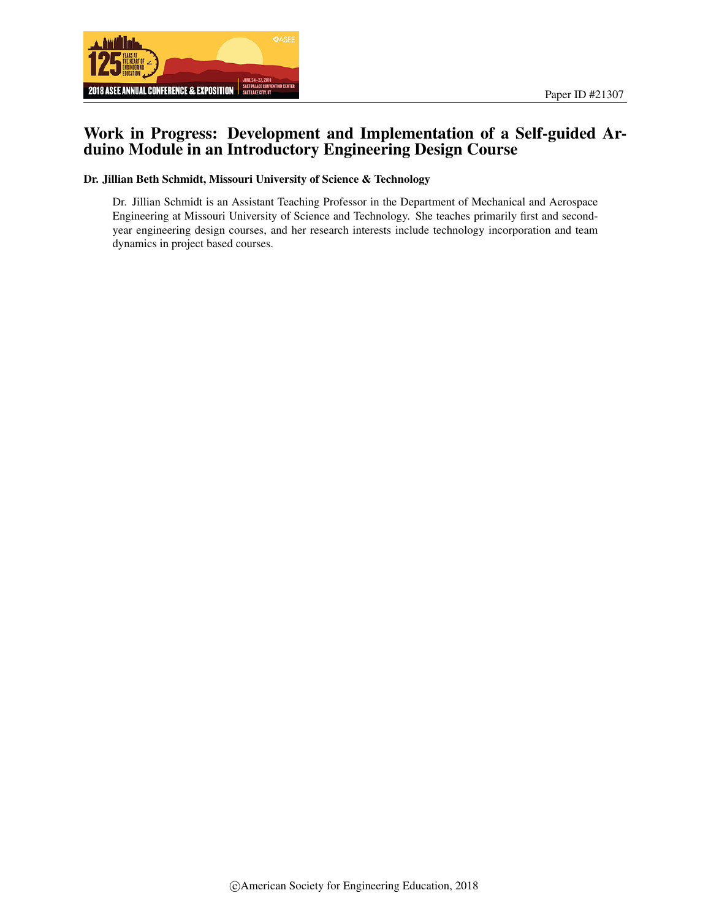

# Work in Progress: Development and Implementation of a Self-guided Arduino Module in an Introductory Engineering Design Course

#### Dr. Jillian Beth Schmidt, Missouri University of Science & Technology

Dr. Jillian Schmidt is an Assistant Teaching Professor in the Department of Mechanical and Aerospace Engineering at Missouri University of Science and Technology. She teaches primarily first and secondyear engineering design courses, and her research interests include technology incorporation and team dynamics in project based courses.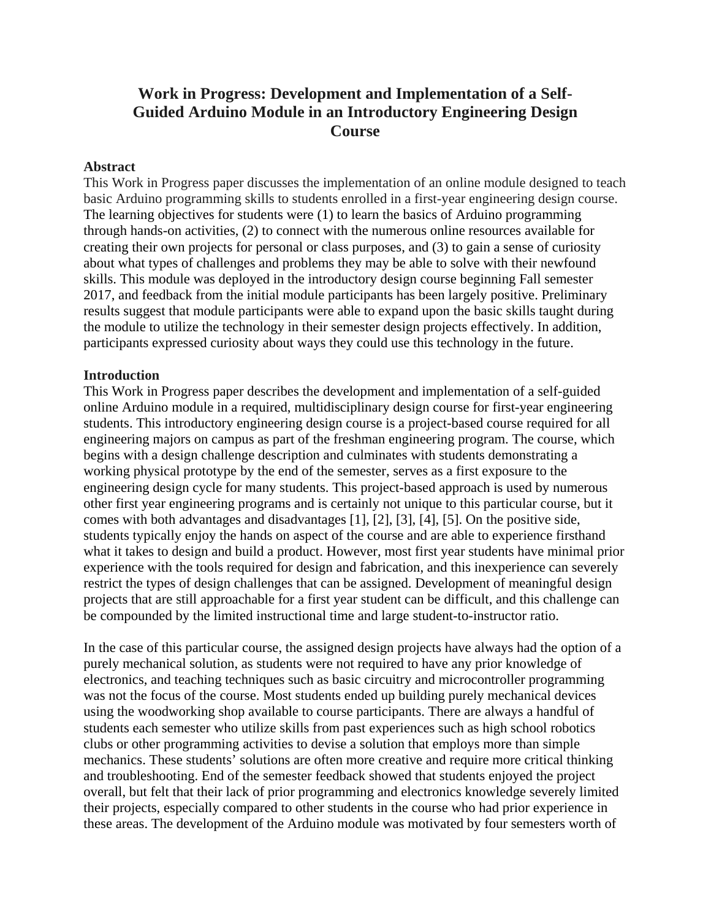# **Work in Progress: Development and Implementation of a Self-Guided Arduino Module in an Introductory Engineering Design Course**

#### **Abstract**

This Work in Progress paper discusses the implementation of an online module designed to teach basic Arduino programming skills to students enrolled in a first-year engineering design course. The learning objectives for students were (1) to learn the basics of Arduino programming through hands-on activities, (2) to connect with the numerous online resources available for creating their own projects for personal or class purposes, and (3) to gain a sense of curiosity about what types of challenges and problems they may be able to solve with their newfound skills. This module was deployed in the introductory design course beginning Fall semester 2017, and feedback from the initial module participants has been largely positive. Preliminary results suggest that module participants were able to expand upon the basic skills taught during the module to utilize the technology in their semester design projects effectively. In addition, participants expressed curiosity about ways they could use this technology in the future.

### **Introduction**

This Work in Progress paper describes the development and implementation of a self-guided online Arduino module in a required, multidisciplinary design course for first-year engineering students. This introductory engineering design course is a project-based course required for all engineering majors on campus as part of the freshman engineering program. The course, which begins with a design challenge description and culminates with students demonstrating a working physical prototype by the end of the semester, serves as a first exposure to the engineering design cycle for many students. This project-based approach is used by numerous other first year engineering programs and is certainly not unique to this particular course, but it comes with both advantages and disadvantages [1], [2], [3], [4], [5]. On the positive side, students typically enjoy the hands on aspect of the course and are able to experience firsthand what it takes to design and build a product. However, most first year students have minimal prior experience with the tools required for design and fabrication, and this inexperience can severely restrict the types of design challenges that can be assigned. Development of meaningful design projects that are still approachable for a first year student can be difficult, and this challenge can be compounded by the limited instructional time and large student-to-instructor ratio.

In the case of this particular course, the assigned design projects have always had the option of a purely mechanical solution, as students were not required to have any prior knowledge of electronics, and teaching techniques such as basic circuitry and microcontroller programming was not the focus of the course. Most students ended up building purely mechanical devices using the woodworking shop available to course participants. There are always a handful of students each semester who utilize skills from past experiences such as high school robotics clubs or other programming activities to devise a solution that employs more than simple mechanics. These students' solutions are often more creative and require more critical thinking and troubleshooting. End of the semester feedback showed that students enjoyed the project overall, but felt that their lack of prior programming and electronics knowledge severely limited their projects, especially compared to other students in the course who had prior experience in these areas. The development of the Arduino module was motivated by four semesters worth of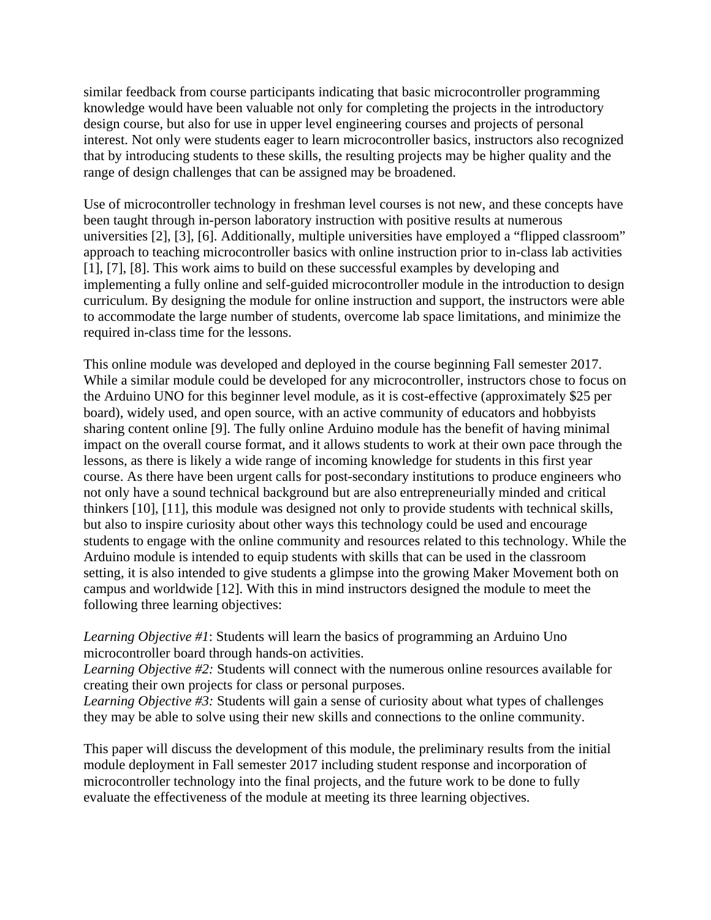similar feedback from course participants indicating that basic microcontroller programming knowledge would have been valuable not only for completing the projects in the introductory design course, but also for use in upper level engineering courses and projects of personal interest. Not only were students eager to learn microcontroller basics, instructors also recognized that by introducing students to these skills, the resulting projects may be higher quality and the range of design challenges that can be assigned may be broadened.

Use of microcontroller technology in freshman level courses is not new, and these concepts have been taught through in-person laboratory instruction with positive results at numerous universities [2], [3], [6]. Additionally, multiple universities have employed a "flipped classroom" approach to teaching microcontroller basics with online instruction prior to in-class lab activities [1], [7], [8]. This work aims to build on these successful examples by developing and implementing a fully online and self-guided microcontroller module in the introduction to design curriculum. By designing the module for online instruction and support, the instructors were able to accommodate the large number of students, overcome lab space limitations, and minimize the required in-class time for the lessons.

This online module was developed and deployed in the course beginning Fall semester 2017. While a similar module could be developed for any microcontroller, instructors chose to focus on the Arduino UNO for this beginner level module, as it is cost-effective (approximately \$25 per board), widely used, and open source, with an active community of educators and hobbyists sharing content online [9]. The fully online Arduino module has the benefit of having minimal impact on the overall course format, and it allows students to work at their own pace through the lessons, as there is likely a wide range of incoming knowledge for students in this first year course. As there have been urgent calls for post-secondary institutions to produce engineers who not only have a sound technical background but are also entrepreneurially minded and critical thinkers [10], [11], this module was designed not only to provide students with technical skills, but also to inspire curiosity about other ways this technology could be used and encourage students to engage with the online community and resources related to this technology. While the Arduino module is intended to equip students with skills that can be used in the classroom setting, it is also intended to give students a glimpse into the growing Maker Movement both on campus and worldwide [12]. With this in mind instructors designed the module to meet the following three learning objectives:

*Learning Objective #1*: Students will learn the basics of programming an Arduino Uno microcontroller board through hands-on activities.

*Learning Objective #2:* Students will connect with the numerous online resources available for creating their own projects for class or personal purposes.

*Learning Objective #3:* Students will gain a sense of curiosity about what types of challenges they may be able to solve using their new skills and connections to the online community.

This paper will discuss the development of this module, the preliminary results from the initial module deployment in Fall semester 2017 including student response and incorporation of microcontroller technology into the final projects, and the future work to be done to fully evaluate the effectiveness of the module at meeting its three learning objectives.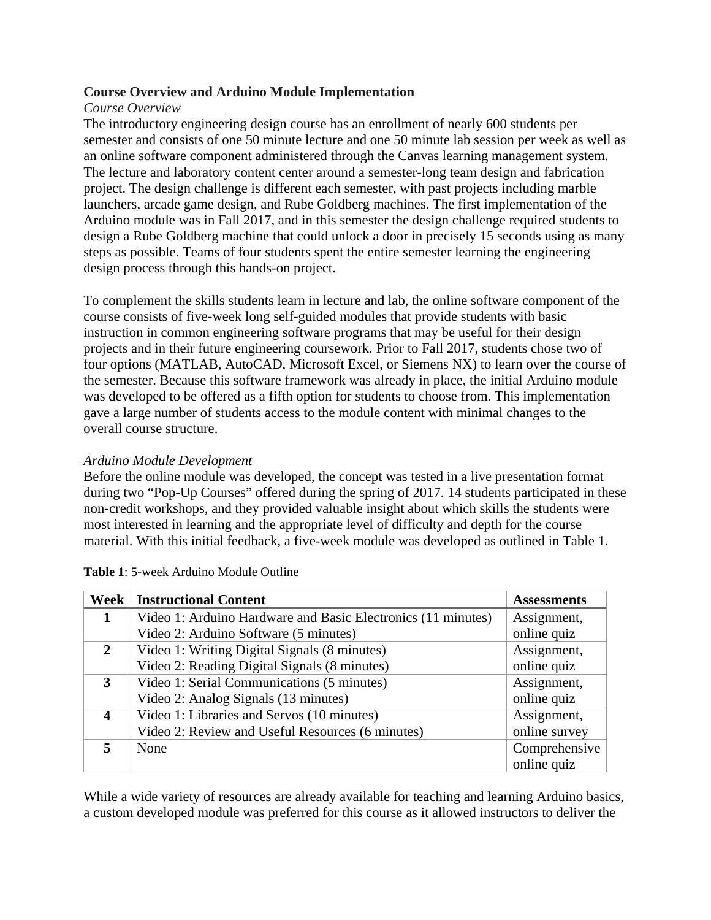# **Course Overview and Arduino Module Implementation**

# *Course Overview*

The introductory engineering design course has an enrollment of nearly 600 students per semester and consists of one 50 minute lecture and one 50 minute lab session per week as well as an online software component administered through the Canvas learning management system. The lecture and laboratory content center around a semester-long team design and fabrication project. The design challenge is different each semester, with past projects including marble launchers, arcade game design, and Rube Goldberg machines. The first implementation of the Arduino module was in Fall 2017, and in this semester the design challenge required students to design a Rube Goldberg machine that could unlock a door in precisely 15 seconds using as many steps as possible. Teams of four students spent the entire semester learning the engineering design process through this hands-on project.

To complement the skills students learn in lecture and lab, the online software component of the course consists of five-week long self-guided modules that provide students with basic instruction in common engineering software programs that may be useful for their design projects and in their future engineering coursework. Prior to Fall 2017, students chose two of four options (MATLAB, AutoCAD, Microsoft Excel, or Siemens NX) to learn over the course of the semester. Because this software framework was already in place, the initial Arduino module was developed to be offered as a fifth option for students to choose from. This implementation gave a large number of students access to the module content with minimal changes to the overall course structure.

# *Arduino Module Development*

Before the online module was developed, the concept was tested in a live presentation format during two "Pop-Up Courses" offered during the spring of 2017. 14 students participated in these non-credit workshops, and they provided valuable insight about which skills the students were most interested in learning and the appropriate level of difficulty and depth for the course material. With this initial feedback, a five-week module was developed as outlined in Table 1.

| Week         | <b>Instructional Content</b>                                 | <b>Assessments</b> |
|--------------|--------------------------------------------------------------|--------------------|
|              | Video 1: Arduino Hardware and Basic Electronics (11 minutes) | Assignment,        |
|              | Video 2: Arduino Software (5 minutes)                        | online quiz        |
| $\mathbf{2}$ | Video 1: Writing Digital Signals (8 minutes)                 | Assignment,        |
|              | Video 2: Reading Digital Signals (8 minutes)                 | online quiz        |
| 3            | Video 1: Serial Communications (5 minutes)                   | Assignment,        |
|              | Video 2: Analog Signals (13 minutes)                         | online quiz        |
| 4            | Video 1: Libraries and Servos (10 minutes)                   | Assignment,        |
|              | Video 2: Review and Useful Resources (6 minutes)             | online survey      |
|              | None                                                         | Comprehensive      |
|              |                                                              | online quiz        |

**Table 1**: 5-week Arduino Module Outline

While a wide variety of resources are already available for teaching and learning Arduino basics, a custom developed module was preferred for this course as it allowed instructors to deliver the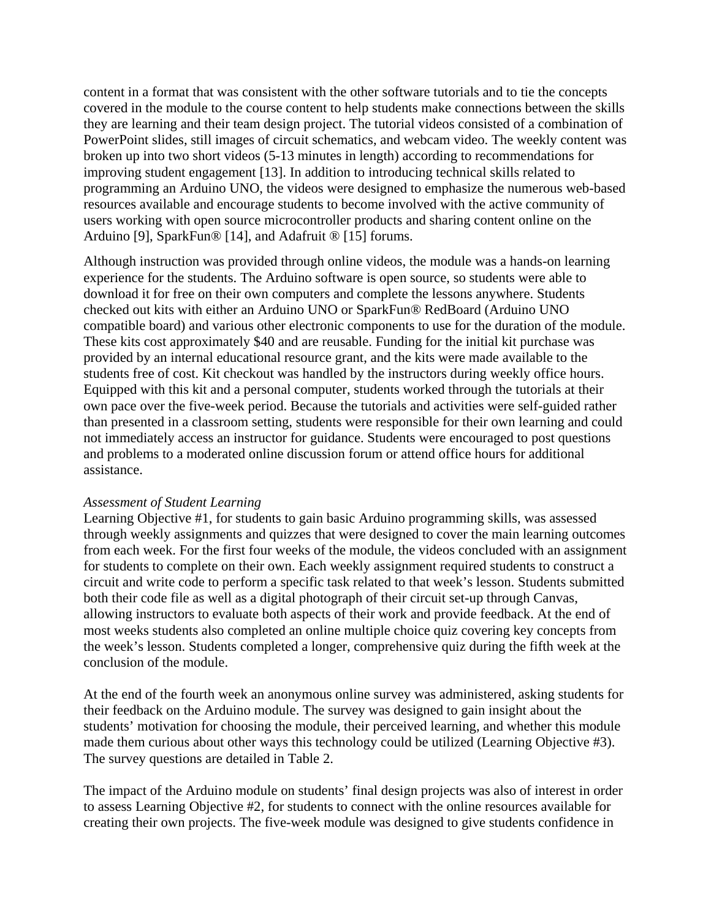content in a format that was consistent with the other software tutorials and to tie the concepts covered in the module to the course content to help students make connections between the skills they are learning and their team design project. The tutorial videos consisted of a combination of PowerPoint slides, still images of circuit schematics, and webcam video. The weekly content was broken up into two short videos (5-13 minutes in length) according to recommendations for improving student engagement [13]. In addition to introducing technical skills related to programming an Arduino UNO, the videos were designed to emphasize the numerous web-based resources available and encourage students to become involved with the active community of users working with open source microcontroller products and sharing content online on the Arduino [9], SparkFun® [14], and Adafruit ® [15] forums.

Although instruction was provided through online videos, the module was a hands-on learning experience for the students. The Arduino software is open source, so students were able to download it for free on their own computers and complete the lessons anywhere. Students checked out kits with either an Arduino UNO or SparkFun® RedBoard (Arduino UNO compatible board) and various other electronic components to use for the duration of the module. These kits cost approximately \$40 and are reusable. Funding for the initial kit purchase was provided by an internal educational resource grant, and the kits were made available to the students free of cost. Kit checkout was handled by the instructors during weekly office hours. Equipped with this kit and a personal computer, students worked through the tutorials at their own pace over the five-week period. Because the tutorials and activities were self-guided rather than presented in a classroom setting, students were responsible for their own learning and could not immediately access an instructor for guidance. Students were encouraged to post questions and problems to a moderated online discussion forum or attend office hours for additional assistance.

# *Assessment of Student Learning*

Learning Objective #1, for students to gain basic Arduino programming skills, was assessed through weekly assignments and quizzes that were designed to cover the main learning outcomes from each week. For the first four weeks of the module, the videos concluded with an assignment for students to complete on their own. Each weekly assignment required students to construct a circuit and write code to perform a specific task related to that week's lesson. Students submitted both their code file as well as a digital photograph of their circuit set-up through Canvas, allowing instructors to evaluate both aspects of their work and provide feedback. At the end of most weeks students also completed an online multiple choice quiz covering key concepts from the week's lesson. Students completed a longer, comprehensive quiz during the fifth week at the conclusion of the module.

At the end of the fourth week an anonymous online survey was administered, asking students for their feedback on the Arduino module. The survey was designed to gain insight about the students' motivation for choosing the module, their perceived learning, and whether this module made them curious about other ways this technology could be utilized (Learning Objective #3). The survey questions are detailed in Table 2.

The impact of the Arduino module on students' final design projects was also of interest in order to assess Learning Objective #2, for students to connect with the online resources available for creating their own projects. The five-week module was designed to give students confidence in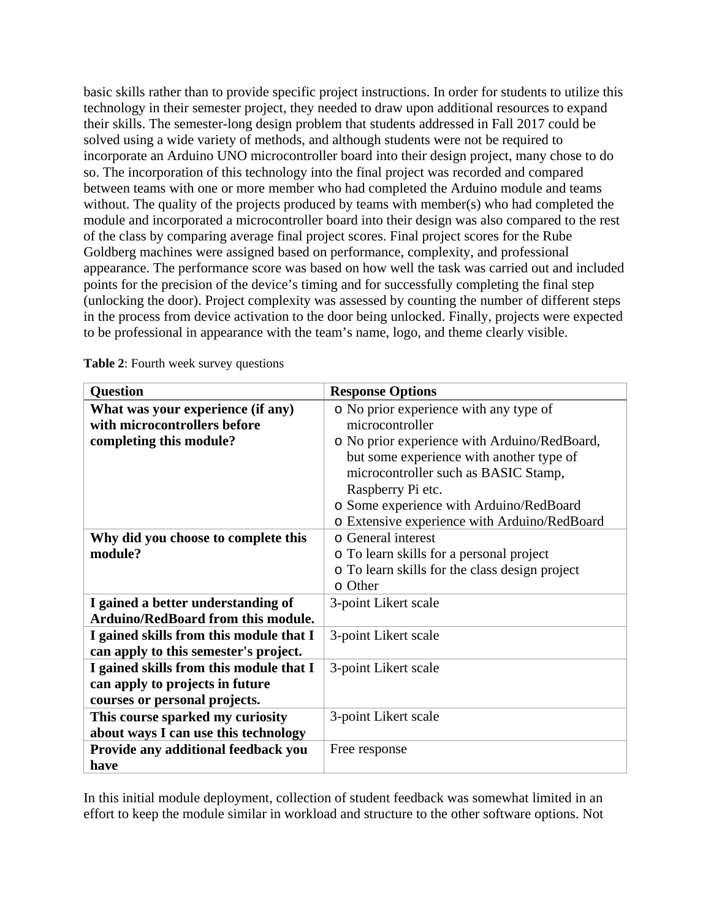basic skills rather than to provide specific project instructions. In order for students to utilize this technology in their semester project, they needed to draw upon additional resources to expand their skills. The semester-long design problem that students addressed in Fall 2017 could be solved using a wide variety of methods, and although students were not be required to incorporate an Arduino UNO microcontroller board into their design project, many chose to do so. The incorporation of this technology into the final project was recorded and compared between teams with one or more member who had completed the Arduino module and teams without. The quality of the projects produced by teams with member(s) who had completed the module and incorporated a microcontroller board into their design was also compared to the rest of the class by comparing average final project scores. Final project scores for the Rube Goldberg machines were assigned based on performance, complexity, and professional appearance. The performance score was based on how well the task was carried out and included points for the precision of the device's timing and for successfully completing the final step (unlocking the door). Project complexity was assessed by counting the number of different steps in the process from device activation to the door being unlocked. Finally, projects were expected to be professional in appearance with the team's name, logo, and theme clearly visible.

| <b>Question</b>                           | <b>Response Options</b>                        |  |
|-------------------------------------------|------------------------------------------------|--|
| What was your experience (if any)         | o No prior experience with any type of         |  |
| with microcontrollers before              | microcontroller                                |  |
| completing this module?                   | o No prior experience with Arduino/RedBoard,   |  |
|                                           | but some experience with another type of       |  |
|                                           | microcontroller such as BASIC Stamp,           |  |
|                                           | Raspberry Pi etc.                              |  |
|                                           | o Some experience with Arduino/RedBoard        |  |
|                                           | o Extensive experience with Arduino/RedBoard   |  |
| Why did you choose to complete this       | o General interest                             |  |
| module?                                   | o To learn skills for a personal project       |  |
|                                           | o To learn skills for the class design project |  |
|                                           | $\circ$ Other                                  |  |
| I gained a better understanding of        | 3-point Likert scale                           |  |
| <b>Arduino/RedBoard from this module.</b> |                                                |  |
| I gained skills from this module that I   | 3-point Likert scale                           |  |
| can apply to this semester's project.     |                                                |  |
| I gained skills from this module that I   | 3-point Likert scale                           |  |
| can apply to projects in future           |                                                |  |
| courses or personal projects.             |                                                |  |
| This course sparked my curiosity          | 3-point Likert scale                           |  |
| about ways I can use this technology      |                                                |  |
| Provide any additional feedback you       | Free response                                  |  |
| have                                      |                                                |  |

**Table 2**: Fourth week survey questions

In this initial module deployment, collection of student feedback was somewhat limited in an effort to keep the module similar in workload and structure to the other software options. Not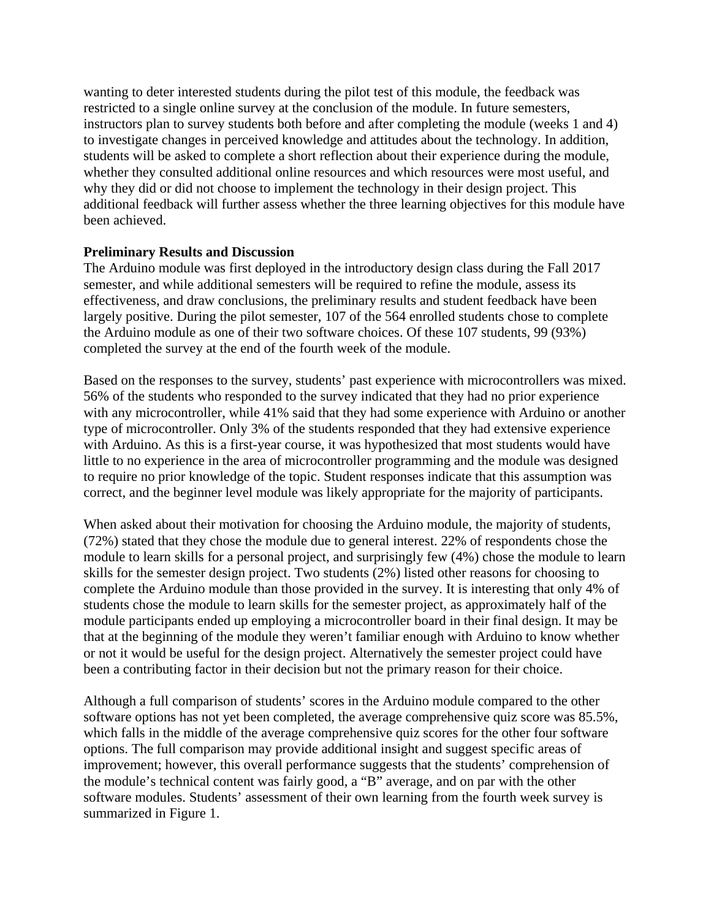wanting to deter interested students during the pilot test of this module, the feedback was restricted to a single online survey at the conclusion of the module. In future semesters, instructors plan to survey students both before and after completing the module (weeks 1 and 4) to investigate changes in perceived knowledge and attitudes about the technology. In addition, students will be asked to complete a short reflection about their experience during the module, whether they consulted additional online resources and which resources were most useful, and why they did or did not choose to implement the technology in their design project. This additional feedback will further assess whether the three learning objectives for this module have been achieved.

# **Preliminary Results and Discussion**

The Arduino module was first deployed in the introductory design class during the Fall 2017 semester, and while additional semesters will be required to refine the module, assess its effectiveness, and draw conclusions, the preliminary results and student feedback have been largely positive. During the pilot semester, 107 of the 564 enrolled students chose to complete the Arduino module as one of their two software choices. Of these 107 students, 99 (93%) completed the survey at the end of the fourth week of the module.

Based on the responses to the survey, students' past experience with microcontrollers was mixed. 56% of the students who responded to the survey indicated that they had no prior experience with any microcontroller, while 41% said that they had some experience with Arduino or another type of microcontroller. Only 3% of the students responded that they had extensive experience with Arduino. As this is a first-year course, it was hypothesized that most students would have little to no experience in the area of microcontroller programming and the module was designed to require no prior knowledge of the topic. Student responses indicate that this assumption was correct, and the beginner level module was likely appropriate for the majority of participants.

When asked about their motivation for choosing the Arduino module, the majority of students, (72%) stated that they chose the module due to general interest. 22% of respondents chose the module to learn skills for a personal project, and surprisingly few (4%) chose the module to learn skills for the semester design project. Two students (2%) listed other reasons for choosing to complete the Arduino module than those provided in the survey. It is interesting that only 4% of students chose the module to learn skills for the semester project, as approximately half of the module participants ended up employing a microcontroller board in their final design. It may be that at the beginning of the module they weren't familiar enough with Arduino to know whether or not it would be useful for the design project. Alternatively the semester project could have been a contributing factor in their decision but not the primary reason for their choice.

Although a full comparison of students' scores in the Arduino module compared to the other software options has not yet been completed, the average comprehensive quiz score was 85.5%, which falls in the middle of the average comprehensive quiz scores for the other four software options. The full comparison may provide additional insight and suggest specific areas of improvement; however, this overall performance suggests that the students' comprehension of the module's technical content was fairly good, a "B" average, and on par with the other software modules. Students' assessment of their own learning from the fourth week survey is summarized in Figure 1.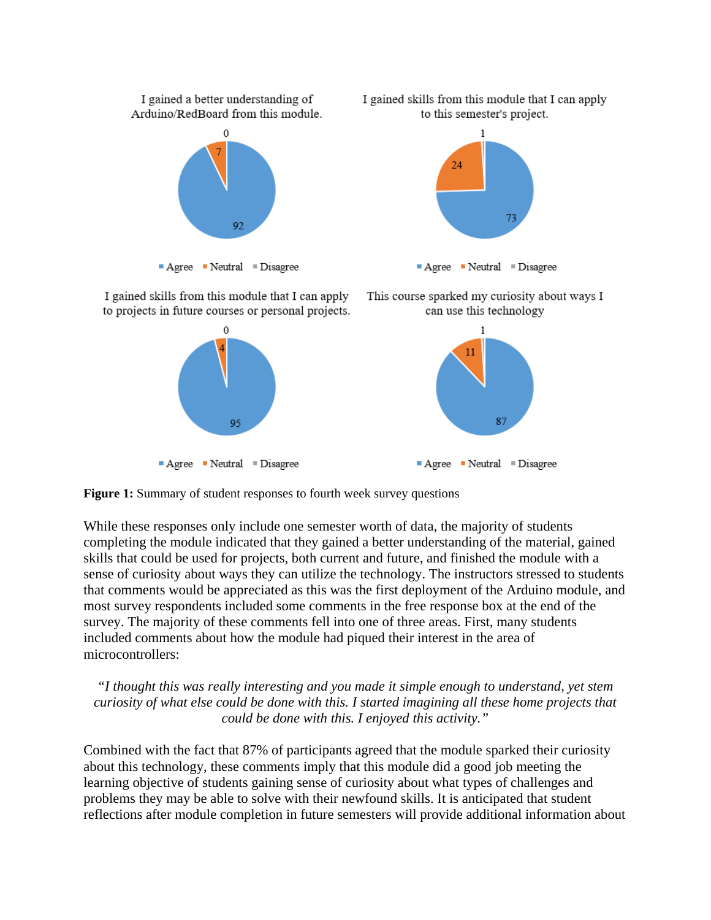

**Figure 1:** Summary of student responses to fourth week survey questions

While these responses only include one semester worth of data, the majority of students completing the module indicated that they gained a better understanding of the material, gained skills that could be used for projects, both current and future, and finished the module with a sense of curiosity about ways they can utilize the technology. The instructors stressed to students that comments would be appreciated as this was the first deployment of the Arduino module, and most survey respondents included some comments in the free response box at the end of the survey. The majority of these comments fell into one of three areas. First, many students included comments about how the module had piqued their interest in the area of microcontrollers:

*"I thought this was really interesting and you made it simple enough to understand, yet stem curiosity of what else could be done with this. I started imagining all these home projects that could be done with this. I enjoyed this activity."*

Combined with the fact that 87% of participants agreed that the module sparked their curiosity about this technology, these comments imply that this module did a good job meeting the learning objective of students gaining sense of curiosity about what types of challenges and problems they may be able to solve with their newfound skills. It is anticipated that student reflections after module completion in future semesters will provide additional information about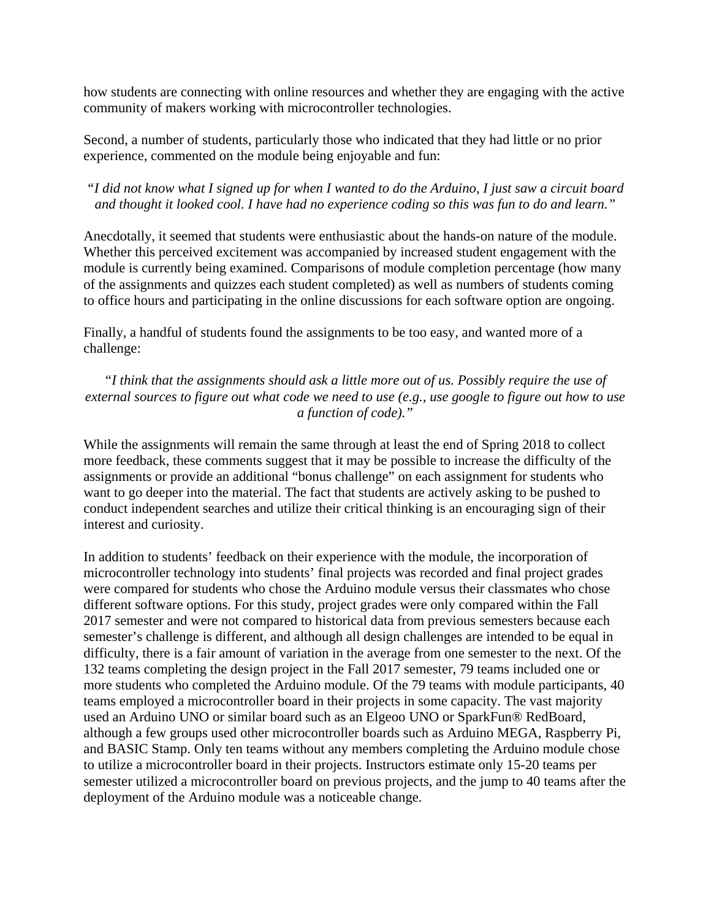how students are connecting with online resources and whether they are engaging with the active community of makers working with microcontroller technologies.

Second, a number of students, particularly those who indicated that they had little or no prior experience, commented on the module being enjoyable and fun:

*"I did not know what I signed up for when I wanted to do the Arduino, I just saw a circuit board and thought it looked cool. I have had no experience coding so this was fun to do and learn."*

Anecdotally, it seemed that students were enthusiastic about the hands-on nature of the module. Whether this perceived excitement was accompanied by increased student engagement with the module is currently being examined. Comparisons of module completion percentage (how many of the assignments and quizzes each student completed) as well as numbers of students coming to office hours and participating in the online discussions for each software option are ongoing.

Finally, a handful of students found the assignments to be too easy, and wanted more of a challenge:

*"I think that the assignments should ask a little more out of us. Possibly require the use of external sources to figure out what code we need to use (e.g., use google to figure out how to use a function of code)."*

While the assignments will remain the same through at least the end of Spring 2018 to collect more feedback, these comments suggest that it may be possible to increase the difficulty of the assignments or provide an additional "bonus challenge" on each assignment for students who want to go deeper into the material. The fact that students are actively asking to be pushed to conduct independent searches and utilize their critical thinking is an encouraging sign of their interest and curiosity.

In addition to students' feedback on their experience with the module, the incorporation of microcontroller technology into students' final projects was recorded and final project grades were compared for students who chose the Arduino module versus their classmates who chose different software options. For this study, project grades were only compared within the Fall 2017 semester and were not compared to historical data from previous semesters because each semester's challenge is different, and although all design challenges are intended to be equal in difficulty, there is a fair amount of variation in the average from one semester to the next. Of the 132 teams completing the design project in the Fall 2017 semester, 79 teams included one or more students who completed the Arduino module. Of the 79 teams with module participants, 40 teams employed a microcontroller board in their projects in some capacity. The vast majority used an Arduino UNO or similar board such as an Elgeoo UNO or SparkFun® RedBoard, although a few groups used other microcontroller boards such as Arduino MEGA, Raspberry Pi, and BASIC Stamp. Only ten teams without any members completing the Arduino module chose to utilize a microcontroller board in their projects. Instructors estimate only 15-20 teams per semester utilized a microcontroller board on previous projects, and the jump to 40 teams after the deployment of the Arduino module was a noticeable change.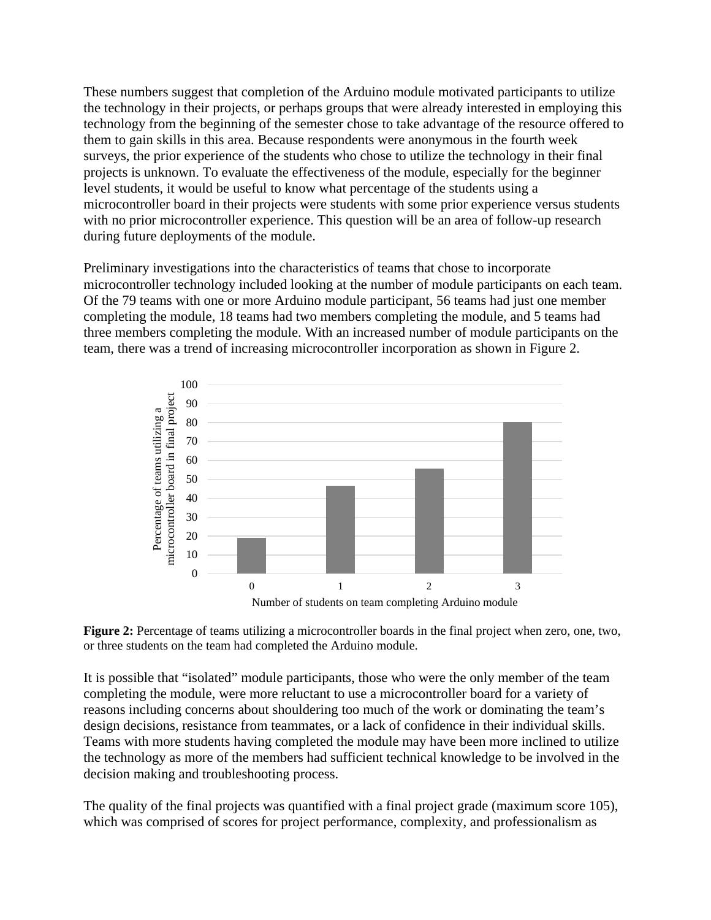These numbers suggest that completion of the Arduino module motivated participants to utilize the technology in their projects, or perhaps groups that were already interested in employing this technology from the beginning of the semester chose to take advantage of the resource offered to them to gain skills in this area. Because respondents were anonymous in the fourth week surveys, the prior experience of the students who chose to utilize the technology in their final projects is unknown. To evaluate the effectiveness of the module, especially for the beginner level students, it would be useful to know what percentage of the students using a microcontroller board in their projects were students with some prior experience versus students with no prior microcontroller experience. This question will be an area of follow-up research during future deployments of the module.

Preliminary investigations into the characteristics of teams that chose to incorporate microcontroller technology included looking at the number of module participants on each team. Of the 79 teams with one or more Arduino module participant, 56 teams had just one member completing the module, 18 teams had two members completing the module, and 5 teams had three members completing the module. With an increased number of module participants on the team, there was a trend of increasing microcontroller incorporation as shown in Figure 2.



**Figure 2:** Percentage of teams utilizing a microcontroller boards in the final project when zero, one, two, or three students on the team had completed the Arduino module.

It is possible that "isolated" module participants, those who were the only member of the team completing the module, were more reluctant to use a microcontroller board for a variety of reasons including concerns about shouldering too much of the work or dominating the team's design decisions, resistance from teammates, or a lack of confidence in their individual skills. Teams with more students having completed the module may have been more inclined to utilize the technology as more of the members had sufficient technical knowledge to be involved in the decision making and troubleshooting process.

The quality of the final projects was quantified with a final project grade (maximum score 105), which was comprised of scores for project performance, complexity, and professionalism as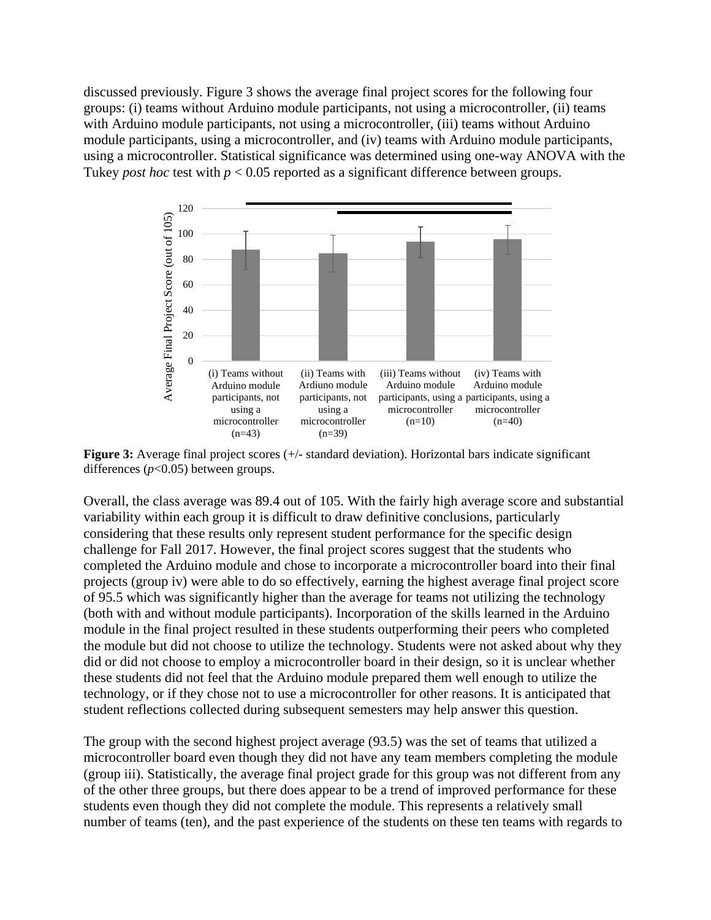discussed previously. Figure 3 shows the average final project scores for the following four groups: (i) teams without Arduino module participants, not using a microcontroller, (ii) teams with Arduino module participants, not using a microcontroller, (iii) teams without Arduino module participants, using a microcontroller, and (iv) teams with Arduino module participants, using a microcontroller. Statistical significance was determined using one-way ANOVA with the Tukey *post hoc* test with *p* < 0.05 reported as a significant difference between groups.



**Figure 3:** Average final project scores (+/- standard deviation). Horizontal bars indicate significant differences (*p*<0.05) between groups.

Overall, the class average was 89.4 out of 105. With the fairly high average score and substantial variability within each group it is difficult to draw definitive conclusions, particularly considering that these results only represent student performance for the specific design challenge for Fall 2017. However, the final project scores suggest that the students who completed the Arduino module and chose to incorporate a microcontroller board into their final projects (group iv) were able to do so effectively, earning the highest average final project score of 95.5 which was significantly higher than the average for teams not utilizing the technology (both with and without module participants). Incorporation of the skills learned in the Arduino module in the final project resulted in these students outperforming their peers who completed the module but did not choose to utilize the technology. Students were not asked about why they did or did not choose to employ a microcontroller board in their design, so it is unclear whether these students did not feel that the Arduino module prepared them well enough to utilize the technology, or if they chose not to use a microcontroller for other reasons. It is anticipated that student reflections collected during subsequent semesters may help answer this question.

The group with the second highest project average (93.5) was the set of teams that utilized a microcontroller board even though they did not have any team members completing the module (group iii). Statistically, the average final project grade for this group was not different from any of the other three groups, but there does appear to be a trend of improved performance for these students even though they did not complete the module. This represents a relatively small number of teams (ten), and the past experience of the students on these ten teams with regards to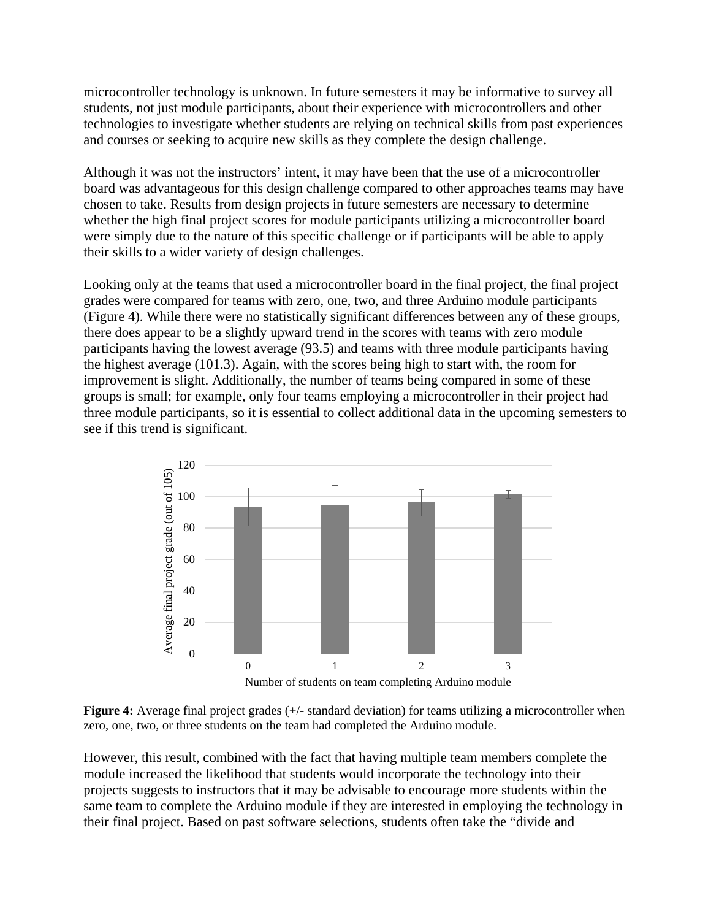microcontroller technology is unknown. In future semesters it may be informative to survey all students, not just module participants, about their experience with microcontrollers and other technologies to investigate whether students are relying on technical skills from past experiences and courses or seeking to acquire new skills as they complete the design challenge.

Although it was not the instructors' intent, it may have been that the use of a microcontroller board was advantageous for this design challenge compared to other approaches teams may have chosen to take. Results from design projects in future semesters are necessary to determine whether the high final project scores for module participants utilizing a microcontroller board were simply due to the nature of this specific challenge or if participants will be able to apply their skills to a wider variety of design challenges.

Looking only at the teams that used a microcontroller board in the final project, the final project grades were compared for teams with zero, one, two, and three Arduino module participants (Figure 4). While there were no statistically significant differences between any of these groups, there does appear to be a slightly upward trend in the scores with teams with zero module participants having the lowest average (93.5) and teams with three module participants having the highest average (101.3). Again, with the scores being high to start with, the room for improvement is slight. Additionally, the number of teams being compared in some of these groups is small; for example, only four teams employing a microcontroller in their project had three module participants, so it is essential to collect additional data in the upcoming semesters to see if this trend is significant.



**Figure 4:** Average final project grades (+/- standard deviation) for teams utilizing a microcontroller when zero, one, two, or three students on the team had completed the Arduino module.

However, this result, combined with the fact that having multiple team members complete the module increased the likelihood that students would incorporate the technology into their projects suggests to instructors that it may be advisable to encourage more students within the same team to complete the Arduino module if they are interested in employing the technology in their final project. Based on past software selections, students often take the "divide and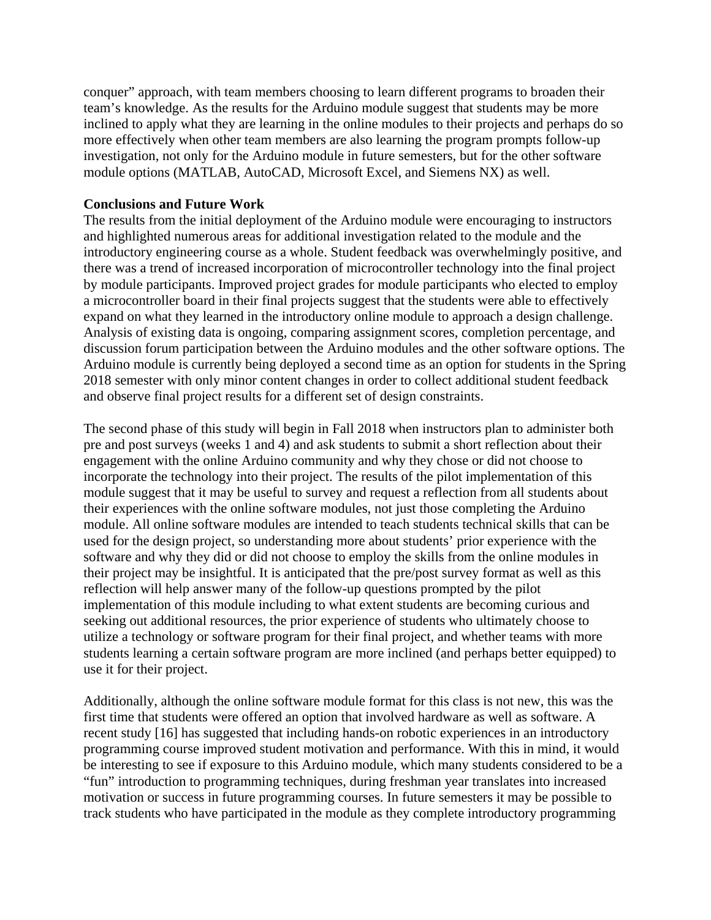conquer" approach, with team members choosing to learn different programs to broaden their team's knowledge. As the results for the Arduino module suggest that students may be more inclined to apply what they are learning in the online modules to their projects and perhaps do so more effectively when other team members are also learning the program prompts follow-up investigation, not only for the Arduino module in future semesters, but for the other software module options (MATLAB, AutoCAD, Microsoft Excel, and Siemens NX) as well.

### **Conclusions and Future Work**

The results from the initial deployment of the Arduino module were encouraging to instructors and highlighted numerous areas for additional investigation related to the module and the introductory engineering course as a whole. Student feedback was overwhelmingly positive, and there was a trend of increased incorporation of microcontroller technology into the final project by module participants. Improved project grades for module participants who elected to employ a microcontroller board in their final projects suggest that the students were able to effectively expand on what they learned in the introductory online module to approach a design challenge. Analysis of existing data is ongoing, comparing assignment scores, completion percentage, and discussion forum participation between the Arduino modules and the other software options. The Arduino module is currently being deployed a second time as an option for students in the Spring 2018 semester with only minor content changes in order to collect additional student feedback and observe final project results for a different set of design constraints.

The second phase of this study will begin in Fall 2018 when instructors plan to administer both pre and post surveys (weeks 1 and 4) and ask students to submit a short reflection about their engagement with the online Arduino community and why they chose or did not choose to incorporate the technology into their project. The results of the pilot implementation of this module suggest that it may be useful to survey and request a reflection from all students about their experiences with the online software modules, not just those completing the Arduino module. All online software modules are intended to teach students technical skills that can be used for the design project, so understanding more about students' prior experience with the software and why they did or did not choose to employ the skills from the online modules in their project may be insightful. It is anticipated that the pre/post survey format as well as this reflection will help answer many of the follow-up questions prompted by the pilot implementation of this module including to what extent students are becoming curious and seeking out additional resources, the prior experience of students who ultimately choose to utilize a technology or software program for their final project, and whether teams with more students learning a certain software program are more inclined (and perhaps better equipped) to use it for their project.

Additionally, although the online software module format for this class is not new, this was the first time that students were offered an option that involved hardware as well as software. A recent study [16] has suggested that including hands-on robotic experiences in an introductory programming course improved student motivation and performance. With this in mind, it would be interesting to see if exposure to this Arduino module, which many students considered to be a "fun" introduction to programming techniques, during freshman year translates into increased motivation or success in future programming courses. In future semesters it may be possible to track students who have participated in the module as they complete introductory programming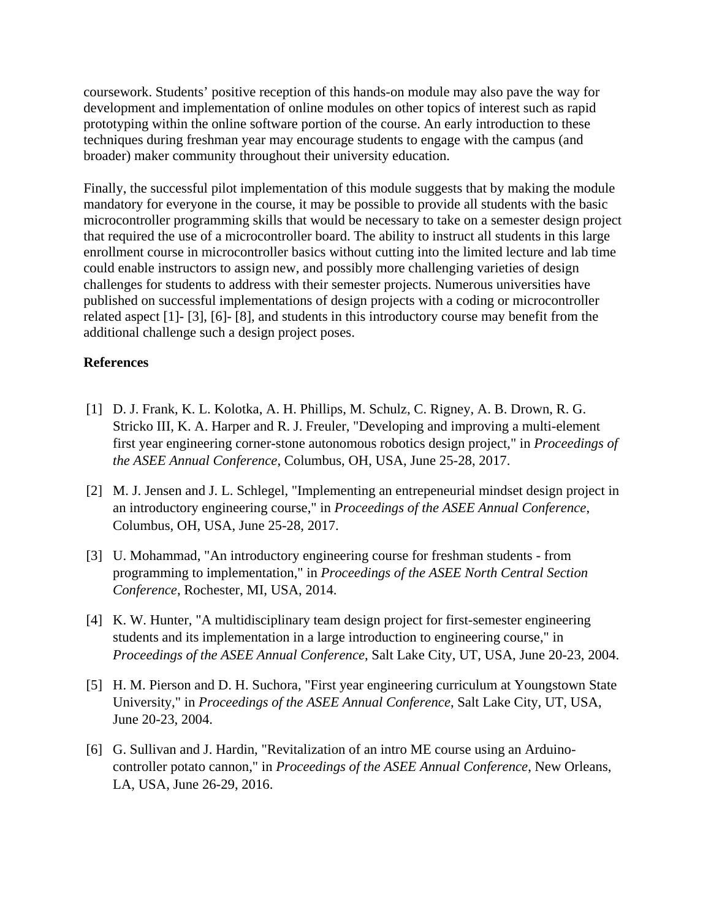coursework. Students' positive reception of this hands-on module may also pave the way for development and implementation of online modules on other topics of interest such as rapid prototyping within the online software portion of the course. An early introduction to these techniques during freshman year may encourage students to engage with the campus (and broader) maker community throughout their university education.

Finally, the successful pilot implementation of this module suggests that by making the module mandatory for everyone in the course, it may be possible to provide all students with the basic microcontroller programming skills that would be necessary to take on a semester design project that required the use of a microcontroller board. The ability to instruct all students in this large enrollment course in microcontroller basics without cutting into the limited lecture and lab time could enable instructors to assign new, and possibly more challenging varieties of design challenges for students to address with their semester projects. Numerous universities have published on successful implementations of design projects with a coding or microcontroller related aspect [1]- [3], [6]- [8], and students in this introductory course may benefit from the additional challenge such a design project poses.

# **References**

- [1] D. J. Frank, K. L. Kolotka, A. H. Phillips, M. Schulz, C. Rigney, A. B. Drown, R. G. Stricko III, K. A. Harper and R. J. Freuler, "Developing and improving a multi-element first year engineering corner-stone autonomous robotics design project," in *Proceedings of the ASEE Annual Conference*, Columbus, OH, USA, June 25-28, 2017.
- [2] M. J. Jensen and J. L. Schlegel, "Implementing an entrepeneurial mindset design project in an introductory engineering course," in *Proceedings of the ASEE Annual Conference*, Columbus, OH, USA, June 25-28, 2017.
- [3] U. Mohammad, "An introductory engineering course for freshman students from programming to implementation," in *Proceedings of the ASEE North Central Section Conference*, Rochester, MI, USA, 2014.
- [4] K. W. Hunter, "A multidisciplinary team design project for first-semester engineering students and its implementation in a large introduction to engineering course," in *Proceedings of the ASEE Annual Conference*, Salt Lake City, UT, USA, June 20-23, 2004.
- [5] H. M. Pierson and D. H. Suchora, "First year engineering curriculum at Youngstown State University," in *Proceedings of the ASEE Annual Conference*, Salt Lake City, UT, USA, June 20-23, 2004.
- [6] G. Sullivan and J. Hardin, "Revitalization of an intro ME course using an Arduinocontroller potato cannon," in *Proceedings of the ASEE Annual Conference*, New Orleans, LA, USA, June 26-29, 2016.